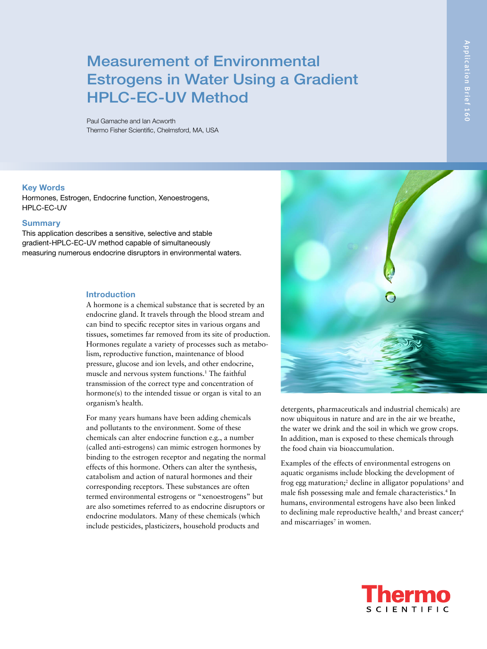# Measurement of Environmental Estrogens in Water Using a Gradient HPLC-EC-UV Method

Paul Gamache and Ian Acworth Thermo Fisher Scientific, Chelmsford, MA, USA

#### **Key Words**

Hormones, Estrogen, Endocrine function, Xenoestrogens, HPLC-EC-UV

#### **Summary**

This application describes a sensitive, selective and stable gradient-HPLC-EC-UV method capable of simultaneously measuring numerous endocrine disruptors in environmental waters.

### **Introduction**

A hormone is a chemical substance that is secreted by an endocrine gland. It travels through the blood stream and can bind to specific receptor sites in various organs and tissues, sometimes far removed from its site of production. Hormones regulate a variety of processes such as metabolism, reproductive function, maintenance of blood pressure, glucose and ion levels, and other endocrine, muscle and nervous system functions.<sup>1</sup> The faithful transmission of the correct type and concentration of hormone(s) to the intended tissue or organ is vital to an organism's health.

For many years humans have been adding chemicals and pollutants to the environment. Some of these chemicals can alter endocrine function e.g., a number (called anti-estrogens) can mimic estrogen hormones by binding to the estrogen receptor and negating the normal effects of this hormone. Others can alter the synthesis, catabolism and action of natural hormones and their corresponding receptors. These substances are often termed environmental estrogens or "xenoestrogens" but are also sometimes referred to as endocrine disruptors or endocrine modulators. Many of these chemicals (which include pesticides, plasticizers, household products and



detergents, pharmaceuticals and industrial chemicals) are now ubiquitous in nature and are in the air we breathe, the water we drink and the soil in which we grow crops. In addition, man is exposed to these chemicals through the food chain via bioaccumulation.

Examples of the effects of environmental estrogens on aquatic organisms include blocking the development of frog egg maturation;<sup>2</sup> decline in alligator populations<sup>3</sup> and male fish possessing male and female characteristics.<sup>4</sup> In humans, environmental estrogens have also been linked to declining male reproductive health,<sup>5</sup> and breast cancer;<sup>6</sup> and miscarriages<sup> $7$ </sup> in women.

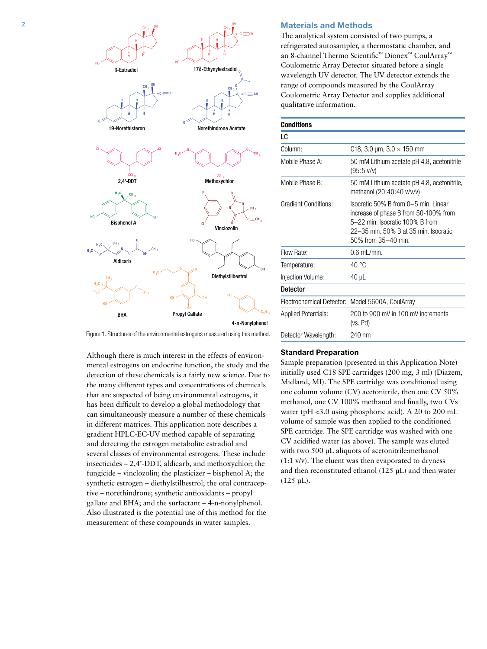

#### **Materials and Methods**

The analytical system consisted of two pumps, a refrigerated autosampler, a thermostatic chamber, and an 8-channel Thermo Scientific™ Dionex™ CoulArray™ Coulometric Array Detector situated before a single wavelength UV detector. The UV detector extends the range of compounds measured by the CoulArray Coulometric Array Detector and supplies additional qualitative information.

#### **Conditions**

| LC                          |                                                                                                                                                                                  |
|-----------------------------|----------------------------------------------------------------------------------------------------------------------------------------------------------------------------------|
| Column:                     | C18, 3.0 $\mu$ m, 3.0 $\times$ 150 mm                                                                                                                                            |
| Mobile Phase A:             | 50 mM Lithium acetate pH 4.8, acetonitrile<br>$(95:5 \text{ V/V})$                                                                                                               |
| Mobile Phase B:             | 50 mM Lithium acetate pH 4.8, acetonitrile,<br>methanol (20:40:40 v/v/v).                                                                                                        |
| <b>Gradient Conditions:</b> | Isocratic 50% B from 0-5 min. Linear<br>increase of phase B from 50-100% from<br>5-22 min. Isocratic 100% B from<br>22–35 min. 50% B at 35 min. Isocratic<br>50% from 35-40 min. |
| Flow Rate:                  | $0.6$ mL/min.                                                                                                                                                                    |
| Temperature:                | $40^{\circ}$ C                                                                                                                                                                   |
| Injection Volume:           | $40 \mu L$                                                                                                                                                                       |
| <b>Detector</b>             |                                                                                                                                                                                  |
|                             | Electrochemical Detector: Model 5600A, CoulArray                                                                                                                                 |
| Applied Potentials:         | 200 to 900 mV in 100 mV increments<br>(vs. Pd)                                                                                                                                   |
| Detector Wavelength:        | 240 nm                                                                                                                                                                           |

Figure 1. Structures of the environmental estrogens measured using this method.

Although there is much interest in the effects of environmental estrogens on endocrine function, the study and the detection of these chemicals is a fairly new science. Due to the many different types and concentrations of chemicals that are suspected of being environmental estrogens, it has been difficult to develop a global methodology that can simultaneously measure a number of these chemicals in different matrices. This application note describes a gradient HPLC-EC-UV method capable of separating and detecting the estrogen metabolite estradiol and several classes of environmental estrogens. These include insecticides – 2,4'-DDT, aldicarb, and methoxychlor; the fungicide – vinclozolin; the plasticizer – bisphenol A; the synthetic estrogen – diethylstilbestrol; the oral contraceptive – norethindrone; synthetic antioxidants – propyl gallate and BHA; and the surfactant – 4-n-nonylphenol. Also illustrated is the potential use of this method for the measurement of these compounds in water samples.

### **Standard Preparation**

Sample preparation (presented in this Application Note) initially used C18 SPE cartridges (200 mg, 3 ml) (Diazem, Midland, MI). The SPE cartridge was conditioned using one column volume (CV) acetonitrile, then one CV 50% methanol, one CV 100% methanol and finally, two CVs water (pH <3.0 using phosphoric acid). A 20 to 200 mL volume of sample was then applied to the conditioned SPE cartridge. The SPE cartridge was washed with one CV acidified water (as above). The sample was eluted with two 500 µL aliquots of acetonitrile:methanol (1:1 v/v). The eluent was then evaporated to dryness and then reconstituted ethanol (125 µL) and then water  $(125 \mu L).$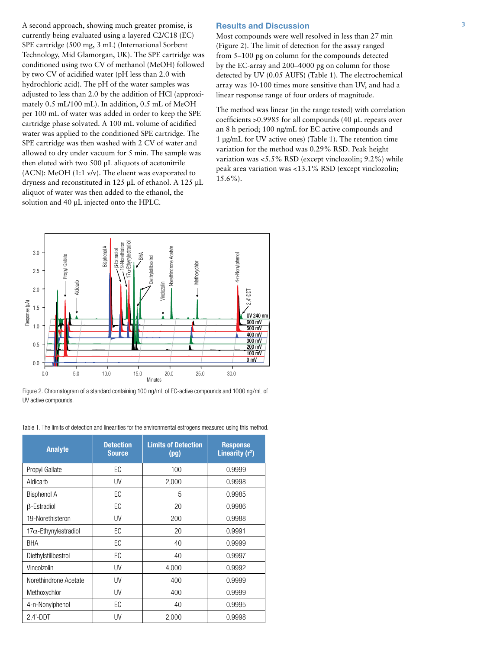A second approach, showing much greater promise, is currently being evaluated using a layered C2/C18 (EC) SPE cartridge (500 mg, 3 mL) (International Sorbent Technology, Mid Glamorgan, UK). The SPE cartridge was conditioned using two CV of methanol (MeOH) followed by two CV of acidified water (pH less than 2.0 with hydrochloric acid). The pH of the water samples was adjusted to less than 2.0 by the addition of HCl (approximately 0.5 mL/100 mL). In addition, 0.5 mL of MeOH per 100 mL of water was added in order to keep the SPE cartridge phase solvated. A 100 mL volume of acidified water was applied to the conditioned SPE cartridge. The SPE cartridge was then washed with 2 CV of water and allowed to dry under vacuum for 5 min. The sample was then eluted with two 500 µL aliquots of acetonitrile  $(ACN)$ : MeOH $(1:1 \text{ v/v})$ . The eluent was evaporated to dryness and reconstituted in 125 µL of ethanol. A 125 µL aliquot of water was then added to the ethanol, the solution and 40 µL injected onto the HPLC.

# **Results and Discussion**

Most compounds were well resolved in less than 27 min (Figure 2). The limit of detection for the assay ranged from 5–100 pg on column for the compounds detected by the EC-array and 200–4000 pg on column for those detected by UV (0.05 AUFS) (Table 1). The electrochemical array was 10-100 times more sensitive than UV, and had a linear response range of four orders of magnitude.

The method was linear (in the range tested) with correlation coefficients >0.9985 for all compounds (40 µL repeats over an 8 h period; 100 ng/mL for EC active compounds and 1 µg/mL for UV active ones) (Table 1). The retention time variation for the method was 0.29% RSD. Peak height variation was <5.5% RSD (except vinclozolin; 9.2%) while peak area variation was <13.1% RSD (except vinclozolin; 15.6%).



Figure 2. Chromatogram of a standard containing 100 ng/mL of EC-active compounds and 1000 ng/mL of UV active compounds.

| <b>Analyte</b>               | <b>Detection</b><br><b>Source</b> | <b>Limits of Detection</b><br>(pg) | <b>Response</b><br>Linearity $(r^2)$ |
|------------------------------|-----------------------------------|------------------------------------|--------------------------------------|
| Propyl Gallate               | EC                                | 100                                | 0.9999                               |
| Aldicarb                     | UV                                | 2,000                              | 0.9998                               |
| <b>Bisphenol A</b>           | EC                                | 5                                  | 0.9985                               |
| <b>B-Estradiol</b>           | EC                                | 20                                 | 0.9986                               |
| 19-Norethisteron             | UV                                | 200                                | 0.9988                               |
| $17\alpha$ -Ethynylestradiol | EC                                | 20                                 | 0.9991                               |
| BHA                          | EC                                | 40                                 | 0.9999                               |
| Diethylstillbestrol          | EC                                | 40                                 | 0.9997                               |
| Vincolzolin                  | UV                                | 4,000                              | 0.9992                               |
| Norethindrone Acetate        | UV                                | 400                                | 0.9999                               |
| Methoxychlor                 | UV                                | 400                                | 0.9999                               |
| 4-n-Nonylphenol              | ЕC                                | 40                                 | 0.9995                               |
| $2.4'$ -DDT                  | UV                                | 2,000                              | 0.9998                               |

Table 1. The limits of detection and linearities for the environmental estrogens measured using this method.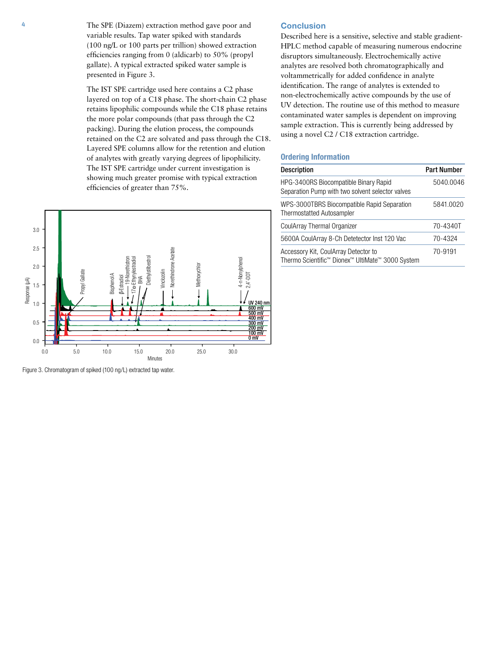4 The SPE (Diazem) extraction method gave poor and variable results. Tap water spiked with standards (100 ng/L or 100 parts per trillion) showed extraction efficiencies ranging from 0 (aldicarb) to 50% (propyl gallate). A typical extracted spiked water sample is presented in Figure 3.

> The IST SPE cartridge used here contains a C2 phase layered on top of a C18 phase. The short-chain C2 phase retains lipophilic compounds while the C18 phase retains the more polar compounds (that pass through the C2 packing). During the elution process, the compounds retained on the C2 are solvated and pass through the C18. Layered SPE columns allow for the retention and elution of analytes with greatly varying degrees of lipophilicity. The IST SPE cartridge under current investigation is showing much greater promise with typical extraction efficiencies of greater than 75%.



Figure 3. Chromatogram of spiked (100 ng/L) extracted tap water.

# **Conclusion**

Described here is a sensitive, selective and stable gradient-HPLC method capable of measuring numerous endocrine disruptors simultaneously. Electrochemically active analytes are resolved both chromatographically and voltammetrically for added confidence in analyte identification. The range of analytes is extended to non-electrochemically active compounds by the use of UV detection. The routine use of this method to measure contaminated water samples is dependent on improving sample extraction. This is currently being addressed by using a novel C2 / C18 extraction cartridge.

# **Ordering Information**

| <b>Description</b>                                                                        | <b>Part Number</b> |
|-------------------------------------------------------------------------------------------|--------------------|
| HPG-3400RS Biocompatible Binary Rapid<br>Separation Pump with two solvent selector valves | 5040.0046          |
| WPS-3000TBRS Biocompatible Rapid Separation<br><b>Thermostatted Autosampler</b>           | 5841.0020          |
| CoulArray Thermal Organizer                                                               | 70-4340T           |
| 5600A CoulArray 8-Ch Detetector Inst 120 Vac                                              | 70-4324            |
| Accessory Kit, CoulArray Detector to<br>Thermo Scientific™ Dionex™ UltiMate™ 3000 System  | 70-9191            |